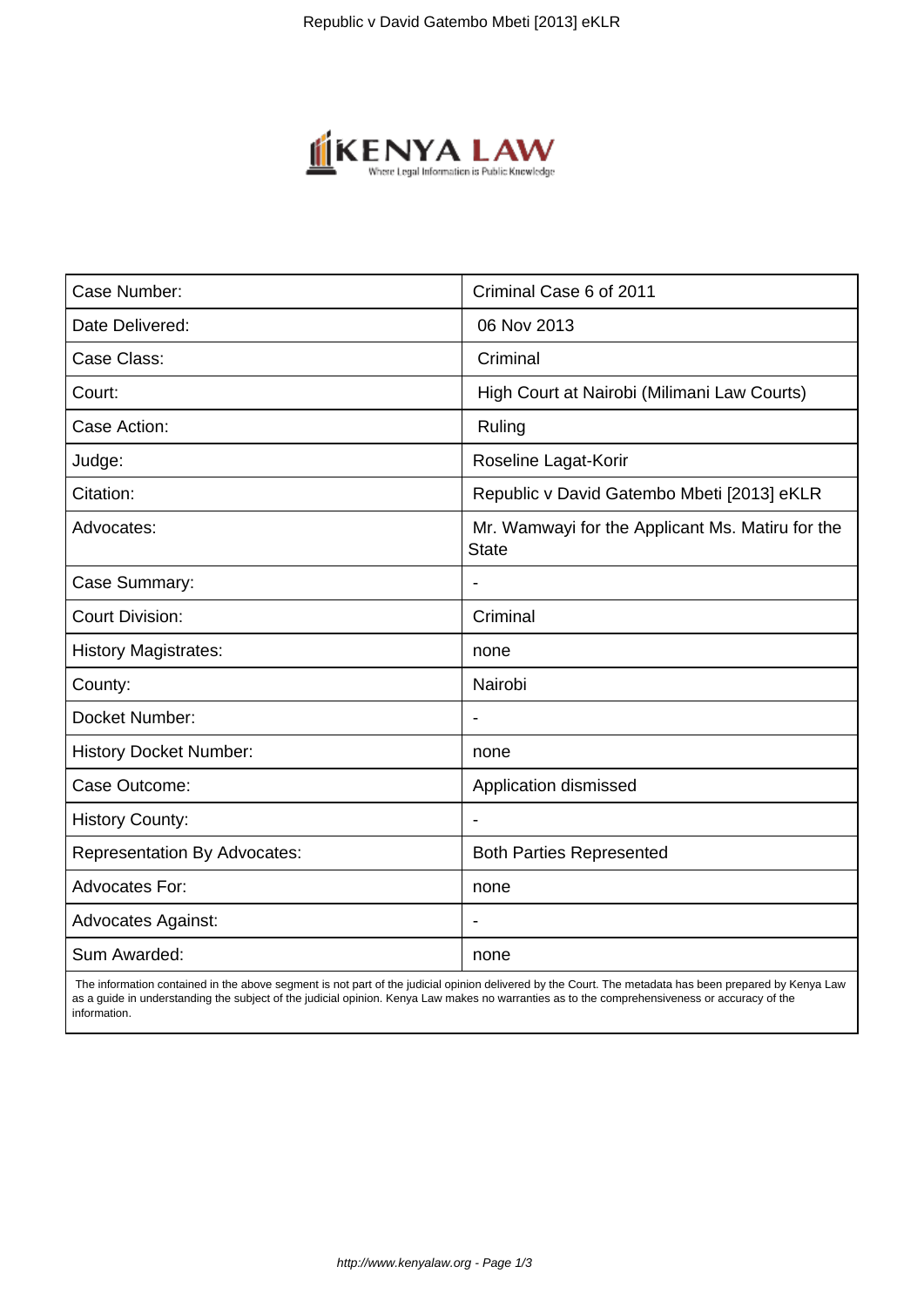

| Case Number:                        | Criminal Case 6 of 2011                                          |
|-------------------------------------|------------------------------------------------------------------|
| Date Delivered:                     | 06 Nov 2013                                                      |
| Case Class:                         | Criminal                                                         |
| Court:                              | High Court at Nairobi (Milimani Law Courts)                      |
| Case Action:                        | Ruling                                                           |
| Judge:                              | Roseline Lagat-Korir                                             |
| Citation:                           | Republic v David Gatembo Mbeti [2013] eKLR                       |
| Advocates:                          | Mr. Wamwayi for the Applicant Ms. Matiru for the<br><b>State</b> |
| Case Summary:                       |                                                                  |
| <b>Court Division:</b>              | Criminal                                                         |
| <b>History Magistrates:</b>         | none                                                             |
| County:                             | Nairobi                                                          |
| Docket Number:                      |                                                                  |
| <b>History Docket Number:</b>       | none                                                             |
| Case Outcome:                       | Application dismissed                                            |
| <b>History County:</b>              | $\blacksquare$                                                   |
| <b>Representation By Advocates:</b> | <b>Both Parties Represented</b>                                  |
| Advocates For:                      | none                                                             |
| <b>Advocates Against:</b>           |                                                                  |
| Sum Awarded:                        | none                                                             |

 The information contained in the above segment is not part of the judicial opinion delivered by the Court. The metadata has been prepared by Kenya Law as a guide in understanding the subject of the judicial opinion. Kenya Law makes no warranties as to the comprehensiveness or accuracy of the information.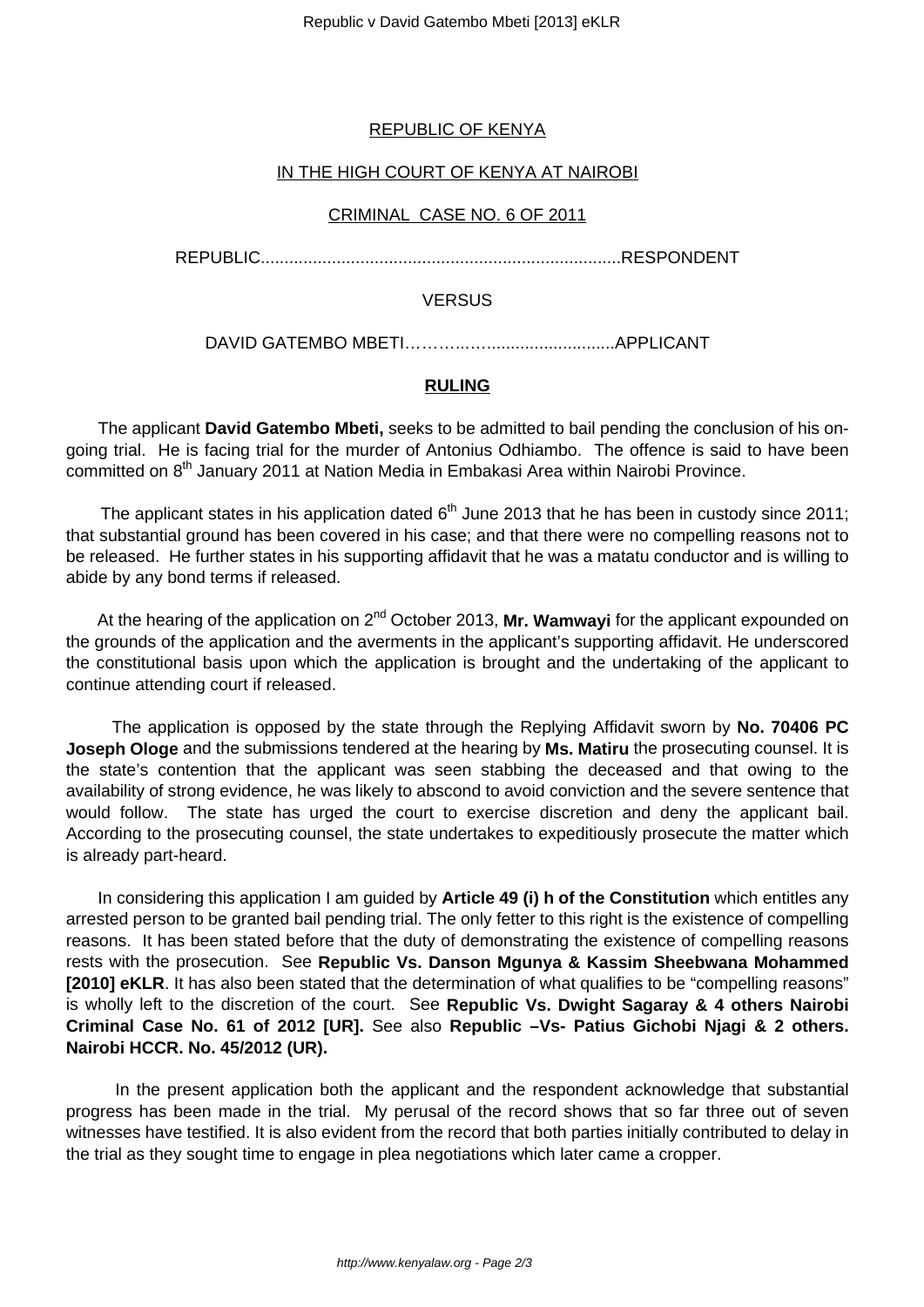# REPUBLIC OF KENYA

# IN THE HIGH COURT OF KENYA AT NAIROBI

#### CRIMINAL CASE NO. 6 OF 2011

REPUBLIC............................................................................RESPONDENT

### **VERSUS**

DAVID GATEMBO MBETI………...…...........................APPLICANT

# **RULING**

 The applicant **David Gatembo Mbeti,** seeks to be admitted to bail pending the conclusion of his ongoing trial. He is facing trial for the murder of Antonius Odhiambo. The offence is said to have been committed on 8<sup>th</sup> January 2011 at Nation Media in Embakasi Area within Nairobi Province.

The applicant states in his application dated  $6<sup>th</sup>$  June 2013 that he has been in custody since 2011; that substantial ground has been covered in his case; and that there were no compelling reasons not to be released. He further states in his supporting affidavit that he was a matatu conductor and is willing to abide by any bond terms if released.

At the hearing of the application on 2<sup>nd</sup> October 2013, **Mr. Wamwayi** for the applicant expounded on the grounds of the application and the averments in the applicant's supporting affidavit. He underscored the constitutional basis upon which the application is brought and the undertaking of the applicant to continue attending court if released.

 The application is opposed by the state through the Replying Affidavit sworn by **No. 70406 PC Joseph Ologe** and the submissions tendered at the hearing by **Ms. Matiru** the prosecuting counsel. It is the state's contention that the applicant was seen stabbing the deceased and that owing to the availability of strong evidence, he was likely to abscond to avoid conviction and the severe sentence that would follow. The state has urged the court to exercise discretion and deny the applicant bail. According to the prosecuting counsel, the state undertakes to expeditiously prosecute the matter which is already part-heard.

 In considering this application I am guided by **Article 49 (i) h of the Constitution** which entitles any arrested person to be granted bail pending trial. The only fetter to this right is the existence of compelling reasons. It has been stated before that the duty of demonstrating the existence of compelling reasons rests with the prosecution. See **Republic Vs. Danson Mgunya & Kassim Sheebwana Mohammed [2010] eKLR**. It has also been stated that the determination of what qualifies to be "compelling reasons" is wholly left to the discretion of the court. See **Republic Vs. Dwight Sagaray & 4 others Nairobi Criminal Case No. 61 of 2012 [UR].** See also **Republic –Vs- Patius Gichobi Njagi & 2 others. Nairobi HCCR. No. 45/2012 (UR).**

 In the present application both the applicant and the respondent acknowledge that substantial progress has been made in the trial. My perusal of the record shows that so far three out of seven witnesses have testified. It is also evident from the record that both parties initially contributed to delay in the trial as they sought time to engage in plea negotiations which later came a cropper.